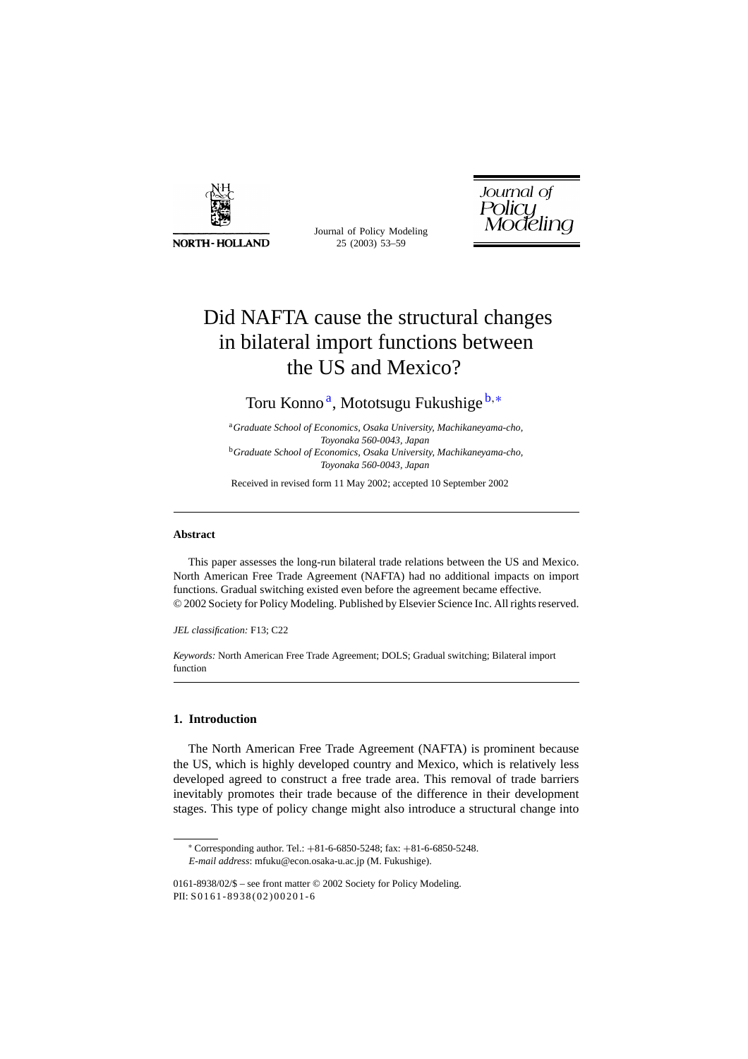

**NORTH-HOLLAND** 

Journal of Policy Modeling 25 (2003) 53–59



# Did NAFTA cause the structural changes in bilateral import functions between the US and Mexico?

Toru Konno<sup>a</sup>, Mototsugu Fukushige<sup>b,\*</sup>

<sup>a</sup>*Graduate School of Economics, Osaka University, Machikaneyama-cho, Toyonaka 560-0043, Japan* <sup>b</sup>*Graduate School of Economics, Osaka University, Machikaneyama-cho, Toyonaka 560-0043, Japan*

Received in revised form 11 May 2002; accepted 10 September 2002

### **Abstract**

This paper assesses the long-run bilateral trade relations between the US and Mexico. North American Free Trade Agreement (NAFTA) had no additional impacts on import functions. Gradual switching existed even before the agreement became effective. © 2002 Society for Policy Modeling. Published by Elsevier Science Inc. All rights reserved.

*JEL classification:* F13; C22

*Keywords:* North American Free Trade Agreement; DOLS; Gradual switching; Bilateral import function

## **1. Introduction**

The North American Free Trade Agreement (NAFTA) is prominent because the US, which is highly developed country and Mexico, which is relatively less developed agreed to construct a free trade area. This removal of trade barriers inevitably promotes their trade because of the difference in their development stages. This type of policy change might also introduce a structural change into

<sup>∗</sup> Corresponding author. Tel.: +81-6-6850-5248; fax: +81-6-6850-5248. *E-mail address*: mfuku@econ.osaka-u.ac.jp (M. Fukushige).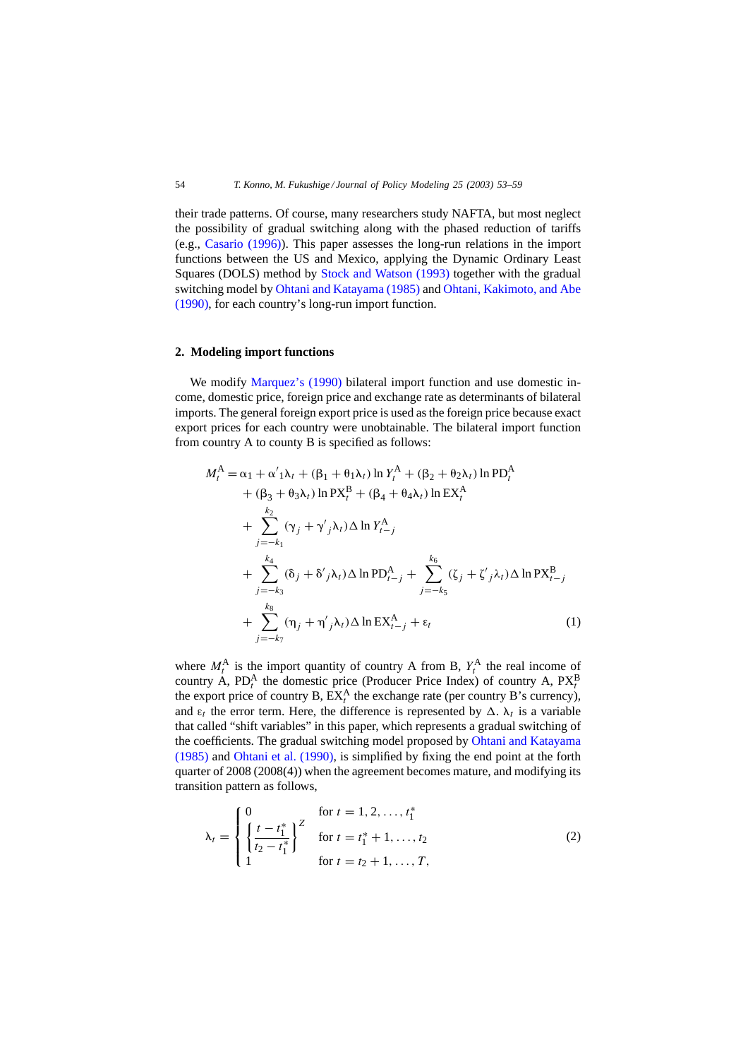their trade patterns. Of course, many researchers study NAFTA, but most neglect the possibility of gradual switching along with the phased reduction of tariffs (e.g., [Casario \(1996\)\).](#page--1-0) This paper assesses the long-run relations in the import functions between the US and Mexico, applying the Dynamic Ordinary Least Squares (DOLS) method by [Stock and Watson \(1993\)](#page--1-0) together with the gradual switching model by [Ohtani and Katayama \(1985\)](#page--1-0) and [Ohtani, Kakimoto, and Abe](#page--1-0) [\(1990\), f](#page--1-0)or each country's long-run import function.

#### **2. Modeling import functions**

We modify [Marquez's \(1990\)](#page--1-0) bilateral import function and use domestic income, domestic price, foreign price and exchange rate as determinants of bilateral imports. The general foreign export price is used as the foreign price because exact export prices for each country were unobtainable. The bilateral import function from country A to county B is specified as follows:

$$
M_t^A = \alpha_1 + \alpha'_1 \lambda_t + (\beta_1 + \theta_1 \lambda_t) \ln Y_t^A + (\beta_2 + \theta_2 \lambda_t) \ln \text{PD}_t^A
$$
  
+  $(\beta_3 + \theta_3 \lambda_t) \ln \text{PX}_t^B + (\beta_4 + \theta_4 \lambda_t) \ln \text{EX}_t^A$   
+ 
$$
\sum_{j=-k_1}^{k_2} (\gamma_j + \gamma'_j \lambda_t) \Delta \ln Y_{t-j}^A
$$
  
+ 
$$
\sum_{j=-k_3}^{k_4} (\delta_j + \delta'_j \lambda_t) \Delta \ln \text{PD}_{t-j}^A + \sum_{j=-k_5}^{k_6} (\zeta_j + \zeta'_j \lambda_t) \Delta \ln \text{PX}_{t-j}^B
$$
  
+ 
$$
\sum_{j=-k_7}^{k_8} (\eta_j + \eta'_j \lambda_t) \Delta \ln \text{EX}_{t-j}^A + \varepsilon_t
$$
 (1)

where  $M_t^A$  is the import quantity of country A from B,  $Y_t^A$  the real income of country A,  $PD_t^A$  the domestic price (Producer Price Index) of country A,  $PX_t^B$  the export price of country B,  $EX_t^A$  the exchange rate (per country B's currency), and  $\varepsilon_t$  the error term. Here, the difference is represented by  $\Delta$ .  $\lambda_t$  is a variable that called "shift variables" in this paper, which represents a gradual switching of the coefficients. The gradual switching model proposed by [Ohtani and Katayama](#page--1-0) [\(1985\)](#page--1-0) and [Ohtani et al. \(1990\),](#page--1-0) is simplified by fixing the end point at the forth quarter of 2008 (2008(4)) when the agreement becomes mature, and modifying its transition pattern as follows,

$$
\lambda_t = \begin{cases}\n0 & \text{for } t = 1, 2, ..., t_1^* \\
\left\{\frac{t - t_1^*}{t_2 - t_1^*}\right\}^Z & \text{for } t = t_1^* + 1, ..., t_2 \\
1 & \text{for } t = t_2 + 1, ..., T,\n\end{cases}
$$
\n(2)